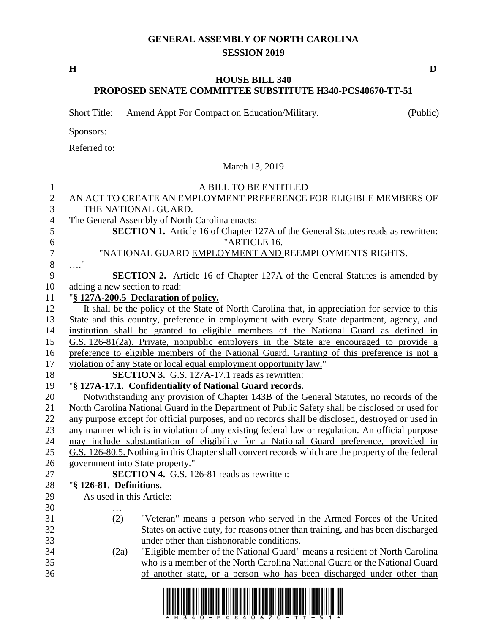## **GENERAL ASSEMBLY OF NORTH CAROLINA SESSION 2019**

**H D**

## **HOUSE BILL 340 PROPOSED SENATE COMMITTEE SUBSTITUTE H340-PCS40670-TT-51**

Short Title: Amend Appt For Compact on Education/Military. (Public)

Sponsors:

Referred to:

## March 13, 2019 A BILL TO BE ENTITLED AN ACT TO CREATE AN EMPLOYMENT PREFERENCE FOR ELIGIBLE MEMBERS OF THE NATIONAL GUARD. The General Assembly of North Carolina enacts: **SECTION 1.** Article 16 of Chapter 127A of the General Statutes reads as rewritten: "ARTICLE 16. "NATIONAL GUARD EMPLOYMENT AND REEMPLOYMENTS RIGHTS. …." **SECTION 2.** Article 16 of Chapter 127A of the General Statutes is amended by adding a new section to read: "**§ 127A-200.5 Declaration of policy.** 12 It shall be the policy of the State of North Carolina that, in appreciation for service to this State and this country, preference in employment with every State department, agency, and institution shall be granted to eligible members of the National Guard as defined in G.S. 126-81(2a). Private, nonpublic employers in the State are encouraged to provide a preference to eligible members of the National Guard. Granting of this preference is not a violation of any State or local equal employment opportunity law." **SECTION 3.** G.S. 127A-17.1 reads as rewritten: "**§ 127A-17.1. Confidentiality of National Guard records.** Notwithstanding any provision of Chapter 143B of the General Statutes, no records of the North Carolina National Guard in the Department of Public Safety shall be disclosed or used for any purpose except for official purposes, and no records shall be disclosed, destroyed or used in any manner which is in violation of any existing federal law or regulation. An official purpose may include substantiation of eligibility for a National Guard preference, provided in G.S. 126-80.5. Nothing in this Chapter shall convert records which are the property of the federal government into State property." **SECTION 4.** G.S. 126-81 reads as rewritten: "**§ 126-81. Definitions.** As used in this Article: … (2) "Veteran" means a person who served in the Armed Forces of the United States on active duty, for reasons other than training, and has been discharged under other than dishonorable conditions. (2a) "Eligible member of the National Guard" means a resident of North Carolina who is a member of the North Carolina National Guard or the National Guard of another state, or a person who has been discharged under other than

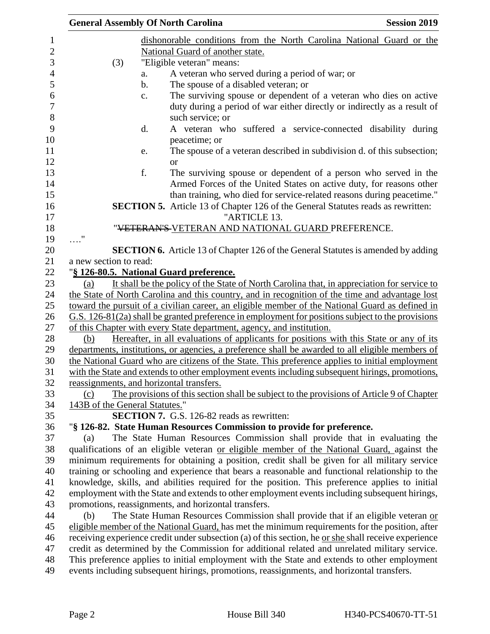| dishonorable conditions from the North Carolina National Guard or the                                                                                                                            |  |  |
|--------------------------------------------------------------------------------------------------------------------------------------------------------------------------------------------------|--|--|
|                                                                                                                                                                                                  |  |  |
|                                                                                                                                                                                                  |  |  |
|                                                                                                                                                                                                  |  |  |
|                                                                                                                                                                                                  |  |  |
|                                                                                                                                                                                                  |  |  |
| The surviving spouse or dependent of a veteran who dies on active                                                                                                                                |  |  |
| duty during a period of war either directly or indirectly as a result of                                                                                                                         |  |  |
| A veteran who suffered a service-connected disability during                                                                                                                                     |  |  |
|                                                                                                                                                                                                  |  |  |
| The spouse of a veteran described in subdivision d. of this subsection;                                                                                                                          |  |  |
|                                                                                                                                                                                                  |  |  |
| The surviving spouse or dependent of a person who served in the                                                                                                                                  |  |  |
| Armed Forces of the United States on active duty, for reasons other                                                                                                                              |  |  |
| than training, who died for service-related reasons during peacetime."                                                                                                                           |  |  |
| <b>SECTION 5.</b> Article 13 of Chapter 126 of the General Statutes reads as rewritten:                                                                                                          |  |  |
|                                                                                                                                                                                                  |  |  |
|                                                                                                                                                                                                  |  |  |
|                                                                                                                                                                                                  |  |  |
| <b>SECTION 6.</b> Article 13 of Chapter 126 of the General Statutes is amended by adding                                                                                                         |  |  |
| a new section to read:                                                                                                                                                                           |  |  |
| "§ 126-80.5. National Guard preference.                                                                                                                                                          |  |  |
| It shall be the policy of the State of North Carolina that, in appreciation for service to<br>(a)                                                                                                |  |  |
| the State of North Carolina and this country, and in recognition of the time and advantage lost                                                                                                  |  |  |
| toward the pursuit of a civilian career, an eligible member of the National Guard as defined in                                                                                                  |  |  |
| $G.S.$ 126-81(2a) shall be granted preference in employment for positions subject to the provisions                                                                                              |  |  |
| of this Chapter with every State department, agency, and institution.                                                                                                                            |  |  |
| Hereafter, in all evaluations of applicants for positions with this State or any of its<br>(b)                                                                                                   |  |  |
| departments, institutions, or agencies, a preference shall be awarded to all eligible members of                                                                                                 |  |  |
| the National Guard who are citizens of the State. This preference applies to initial employment                                                                                                  |  |  |
| with the State and extends to other employment events including subsequent hirings, promotions,                                                                                                  |  |  |
| reassignments, and horizontal transfers.                                                                                                                                                         |  |  |
| The provisions of this section shall be subject to the provisions of Article 9 of Chapter<br>(c)                                                                                                 |  |  |
| 143B of the General Statutes."                                                                                                                                                                   |  |  |
| <b>SECTION 7.</b> G.S. 126-82 reads as rewritten:                                                                                                                                                |  |  |
| "§ 126-82. State Human Resources Commission to provide for preference.                                                                                                                           |  |  |
| The State Human Resources Commission shall provide that in evaluating the<br>(a)                                                                                                                 |  |  |
| qualifications of an eligible veteran or eligible member of the National Guard, against the                                                                                                      |  |  |
| minimum requirements for obtaining a position, credit shall be given for all military service<br>training or schooling and experience that bears a reasonable and functional relationship to the |  |  |
| knowledge, skills, and abilities required for the position. This preference applies to initial                                                                                                   |  |  |
| employment with the State and extends to other employment events including subsequent hirings,                                                                                                   |  |  |
| promotions, reassignments, and horizontal transfers.                                                                                                                                             |  |  |
| The State Human Resources Commission shall provide that if an eligible veteran or<br>(b)                                                                                                         |  |  |
| eligible member of the National Guard, has met the minimum requirements for the position, after                                                                                                  |  |  |
| receiving experience credit under subsection (a) of this section, he <u>or she</u> shall receive experience                                                                                      |  |  |
|                                                                                                                                                                                                  |  |  |
|                                                                                                                                                                                                  |  |  |
| credit as determined by the Commission for additional related and unrelated military service.<br>This preference applies to initial employment with the State and extends to other employment    |  |  |
|                                                                                                                                                                                                  |  |  |